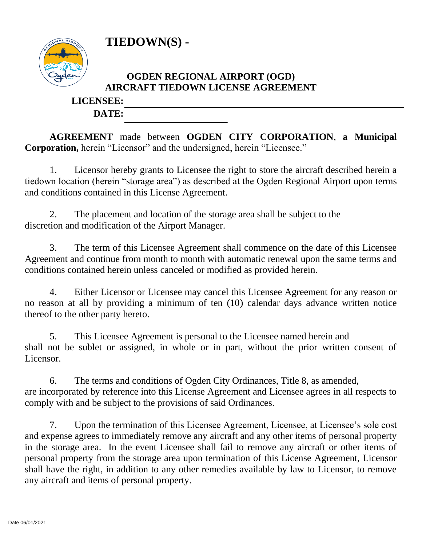**TIEDOWN(S) -**



## **OGDEN REGIONAL AIRPORT (OGD) AIRCRAFT TIEDOWN LICENSE AGREEMENT**

## **LICENSEE: DATE:**

**AGREEMENT** made between **OGDEN CITY CORPORATION**, **a Municipal Corporation,** herein "Licensor" and the undersigned, herein "Licensee."

1. Licensor hereby grants to Licensee the right to store the aircraft described herein a tiedown location (herein "storage area") as described at the Ogden Regional Airport upon terms and conditions contained in this License Agreement.

2. The placement and location of the storage area shall be subject to the discretion and modification of the Airport Manager.

3. The term of this Licensee Agreement shall commence on the date of this Licensee Agreement and continue from month to month with automatic renewal upon the same terms and conditions contained herein unless canceled or modified as provided herein.

4. Either Licensor or Licensee may cancel this Licensee Agreement for any reason or no reason at all by providing a minimum of ten (10) calendar days advance written notice thereof to the other party hereto.

5. This Licensee Agreement is personal to the Licensee named herein and shall not be sublet or assigned, in whole or in part, without the prior written consent of Licensor.

6. The terms and conditions of Ogden City Ordinances, Title 8, as amended, are incorporated by reference into this License Agreement and Licensee agrees in all respects to comply with and be subject to the provisions of said Ordinances.

7. Upon the termination of this Licensee Agreement, Licensee, at Licensee's sole cost and expense agrees to immediately remove any aircraft and any other items of personal property in the storage area. In the event Licensee shall fail to remove any aircraft or other items of personal property from the storage area upon termination of this License Agreement, Licensor shall have the right, in addition to any other remedies available by law to Licensor, to remove any aircraft and items of personal property.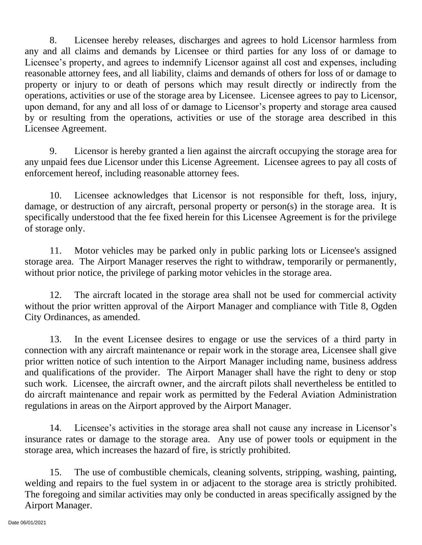8. Licensee hereby releases, discharges and agrees to hold Licensor harmless from any and all claims and demands by Licensee or third parties for any loss of or damage to Licensee's property, and agrees to indemnify Licensor against all cost and expenses, including reasonable attorney fees, and all liability, claims and demands of others for loss of or damage to property or injury to or death of persons which may result directly or indirectly from the operations, activities or use of the storage area by Licensee. Licensee agrees to pay to Licensor, upon demand, for any and all loss of or damage to Licensor's property and storage area caused by or resulting from the operations, activities or use of the storage area described in this Licensee Agreement.

9. Licensor is hereby granted a lien against the aircraft occupying the storage area for any unpaid fees due Licensor under this License Agreement. Licensee agrees to pay all costs of enforcement hereof, including reasonable attorney fees.

10. Licensee acknowledges that Licensor is not responsible for theft, loss, injury, damage, or destruction of any aircraft, personal property or person(s) in the storage area. It is specifically understood that the fee fixed herein for this Licensee Agreement is for the privilege of storage only.

11. Motor vehicles may be parked only in public parking lots or Licensee's assigned storage area. The Airport Manager reserves the right to withdraw, temporarily or permanently, without prior notice, the privilege of parking motor vehicles in the storage area.

12. The aircraft located in the storage area shall not be used for commercial activity without the prior written approval of the Airport Manager and compliance with Title 8, Ogden City Ordinances, as amended.

13. In the event Licensee desires to engage or use the services of a third party in connection with any aircraft maintenance or repair work in the storage area, Licensee shall give prior written notice of such intention to the Airport Manager including name, business address and qualifications of the provider. The Airport Manager shall have the right to deny or stop such work. Licensee, the aircraft owner, and the aircraft pilots shall nevertheless be entitled to do aircraft maintenance and repair work as permitted by the Federal Aviation Administration regulations in areas on the Airport approved by the Airport Manager.

14. Licensee's activities in the storage area shall not cause any increase in Licensor's insurance rates or damage to the storage area. Any use of power tools or equipment in the storage area, which increases the hazard of fire, is strictly prohibited.

15. The use of combustible chemicals, cleaning solvents, stripping, washing, painting, welding and repairs to the fuel system in or adjacent to the storage area is strictly prohibited. The foregoing and similar activities may only be conducted in areas specifically assigned by the Airport Manager.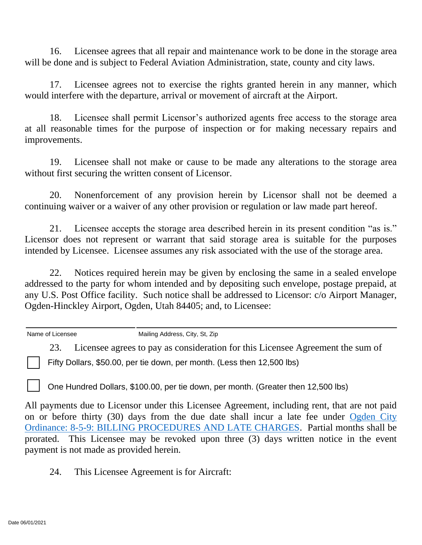16. Licensee agrees that all repair and maintenance work to be done in the storage area will be done and is subject to Federal Aviation Administration, state, county and city laws.

17. Licensee agrees not to exercise the rights granted herein in any manner, which would interfere with the departure, arrival or movement of aircraft at the Airport.

18. Licensee shall permit Licensor's authorized agents free access to the storage area at all reasonable times for the purpose of inspection or for making necessary repairs and improvements.

19. Licensee shall not make or cause to be made any alterations to the storage area without first securing the written consent of Licensor.

20. Nonenforcement of any provision herein by Licensor shall not be deemed a continuing waiver or a waiver of any other provision or regulation or law made part hereof.

21. Licensee accepts the storage area described herein in its present condition "as is." Licensor does not represent or warrant that said storage area is suitable for the purposes intended by Licensee. Licensee assumes any risk associated with the use of the storage area.

22. Notices required herein may be given by enclosing the same in a sealed envelope addressed to the party for whom intended and by depositing such envelope, postage prepaid, at any U.S. Post Office facility. Such notice shall be addressed to Licensor: c/o Airport Manager, Ogden-Hinckley Airport, Ogden, Utah 84405; and, to Licensee:

Name of Licensee Mailing Address, City, St, Zip

23. Licensee agrees to pay as consideration for this Licensee Agreement the sum of

Fifty Dollars, \$50.00, per tie down, per month. (Less then 12,500 lbs)

One Hundred Dollars, \$100.00, per tie down, per month. (Greater then 12,500 lbs)

All payments due to Licensor under this Licensee Agreement, including rent, that are not paid on or before thirty (30) days from the due date shall incur a late fee under [Ogden City](https://codelibrary.amlegal.com/codes/ogdencityut/latest/ogdencity_ut/0-0-0-13520)  Ordinance: [8-5-9: BILLING PROCEDURES AND LATE CHARGES.](https://codelibrary.amlegal.com/codes/ogdencityut/latest/ogdencity_ut/0-0-0-13520) Partial months shall be prorated. This Licensee may be revoked upon three (3) days written notice in the event payment is not made as provided herein.

24. This Licensee Agreement is for Aircraft: